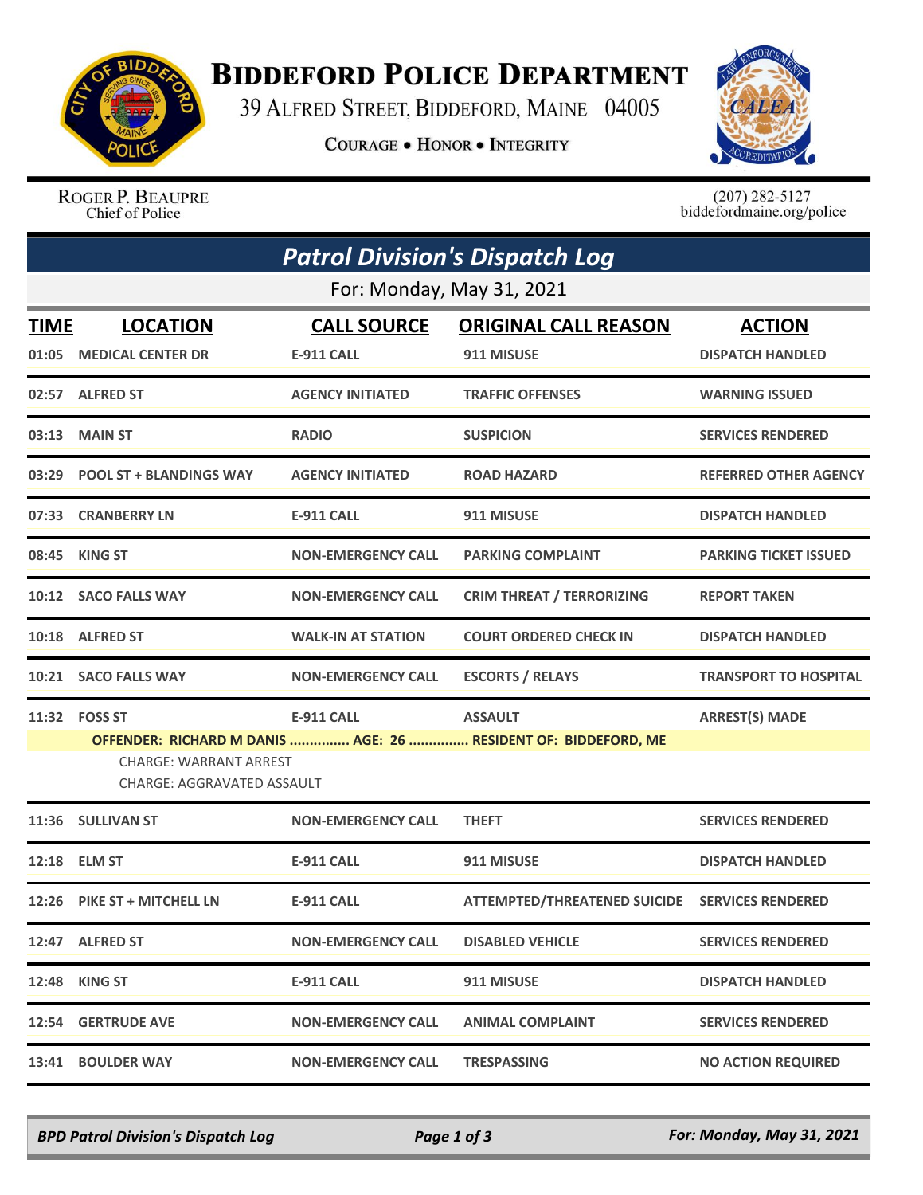

## **BIDDEFORD POLICE DEPARTMENT**

39 ALFRED STREET, BIDDEFORD, MAINE 04005

**COURAGE . HONOR . INTEGRITY** 



ROGER P. BEAUPRE Chief of Police

 $(207)$  282-5127<br>biddefordmaine.org/police

| <b>Patrol Division's Dispatch Log</b> |                                                                                                                                                                                                                       |                                         |                                                |                                          |  |  |  |  |
|---------------------------------------|-----------------------------------------------------------------------------------------------------------------------------------------------------------------------------------------------------------------------|-----------------------------------------|------------------------------------------------|------------------------------------------|--|--|--|--|
| For: Monday, May 31, 2021             |                                                                                                                                                                                                                       |                                         |                                                |                                          |  |  |  |  |
| <b>TIME</b><br>01:05                  | <b>LOCATION</b><br><b>MEDICAL CENTER DR</b>                                                                                                                                                                           | <b>CALL SOURCE</b><br><b>E-911 CALL</b> | <b>ORIGINAL CALL REASON</b><br>911 MISUSE      | <b>ACTION</b><br><b>DISPATCH HANDLED</b> |  |  |  |  |
|                                       | 02:57 ALFRED ST                                                                                                                                                                                                       | <b>AGENCY INITIATED</b>                 | <b>TRAFFIC OFFENSES</b>                        | <b>WARNING ISSUED</b>                    |  |  |  |  |
|                                       | 03:13 MAIN ST                                                                                                                                                                                                         | <b>RADIO</b>                            | <b>SUSPICION</b>                               | <b>SERVICES RENDERED</b>                 |  |  |  |  |
| 03:29                                 | <b>POOL ST + BLANDINGS WAY</b>                                                                                                                                                                                        | <b>AGENCY INITIATED</b>                 | <b>ROAD HAZARD</b>                             | <b>REFERRED OTHER AGENCY</b>             |  |  |  |  |
|                                       | 07:33 CRANBERRY LN                                                                                                                                                                                                    | <b>E-911 CALL</b>                       | 911 MISUSE                                     | <b>DISPATCH HANDLED</b>                  |  |  |  |  |
|                                       | 08:45 KING ST                                                                                                                                                                                                         | <b>NON-EMERGENCY CALL</b>               | <b>PARKING COMPLAINT</b>                       | <b>PARKING TICKET ISSUED</b>             |  |  |  |  |
|                                       | 10:12 SACO FALLS WAY                                                                                                                                                                                                  | <b>NON-EMERGENCY CALL</b>               | <b>CRIM THREAT / TERRORIZING</b>               | <b>REPORT TAKEN</b>                      |  |  |  |  |
|                                       | 10:18 ALFRED ST                                                                                                                                                                                                       | <b>WALK-IN AT STATION</b>               | <b>COURT ORDERED CHECK IN</b>                  | <b>DISPATCH HANDLED</b>                  |  |  |  |  |
|                                       | 10:21 SACO FALLS WAY                                                                                                                                                                                                  | <b>NON-EMERGENCY CALL</b>               | <b>ESCORTS / RELAYS</b>                        | <b>TRANSPORT TO HOSPITAL</b>             |  |  |  |  |
|                                       | <b>ARREST(S) MADE</b><br>11:32 FOSS ST<br><b>E-911 CALL</b><br><b>ASSAULT</b><br>OFFENDER: RICHARD M DANIS  AGE: 26  RESIDENT OF: BIDDEFORD, ME<br><b>CHARGE: WARRANT ARREST</b><br><b>CHARGE: AGGRAVATED ASSAULT</b> |                                         |                                                |                                          |  |  |  |  |
|                                       | 11:36 SULLIVAN ST                                                                                                                                                                                                     | <b>NON-EMERGENCY CALL</b>               | <b>THEFT</b>                                   | <b>SERVICES RENDERED</b>                 |  |  |  |  |
|                                       | 12:18 ELM ST                                                                                                                                                                                                          | <b>E-911 CALL</b>                       | 911 MISUSE                                     | <b>DISPATCH HANDLED</b>                  |  |  |  |  |
|                                       | 12:26 PIKE ST + MITCHELL LN                                                                                                                                                                                           | E-911 CALL                              | ATTEMPTED/THREATENED SUICIDE SERVICES RENDERED |                                          |  |  |  |  |
|                                       | 12:47 ALFRED ST                                                                                                                                                                                                       | <b>NON-EMERGENCY CALL</b>               | <b>DISABLED VEHICLE</b>                        | <b>SERVICES RENDERED</b>                 |  |  |  |  |
| 12:48                                 | <b>KING ST</b>                                                                                                                                                                                                        | <b>E-911 CALL</b>                       | 911 MISUSE                                     | <b>DISPATCH HANDLED</b>                  |  |  |  |  |
| 12:54                                 | <b>GERTRUDE AVE</b>                                                                                                                                                                                                   | <b>NON-EMERGENCY CALL</b>               | <b>ANIMAL COMPLAINT</b>                        | <b>SERVICES RENDERED</b>                 |  |  |  |  |
| 13:41                                 | <b>BOULDER WAY</b>                                                                                                                                                                                                    | <b>NON-EMERGENCY CALL</b>               | <b>TRESPASSING</b>                             | <b>NO ACTION REQUIRED</b>                |  |  |  |  |

*BPD Patrol Division's Dispatch Log Page 1 of 3 For: Monday, May 31, 2021*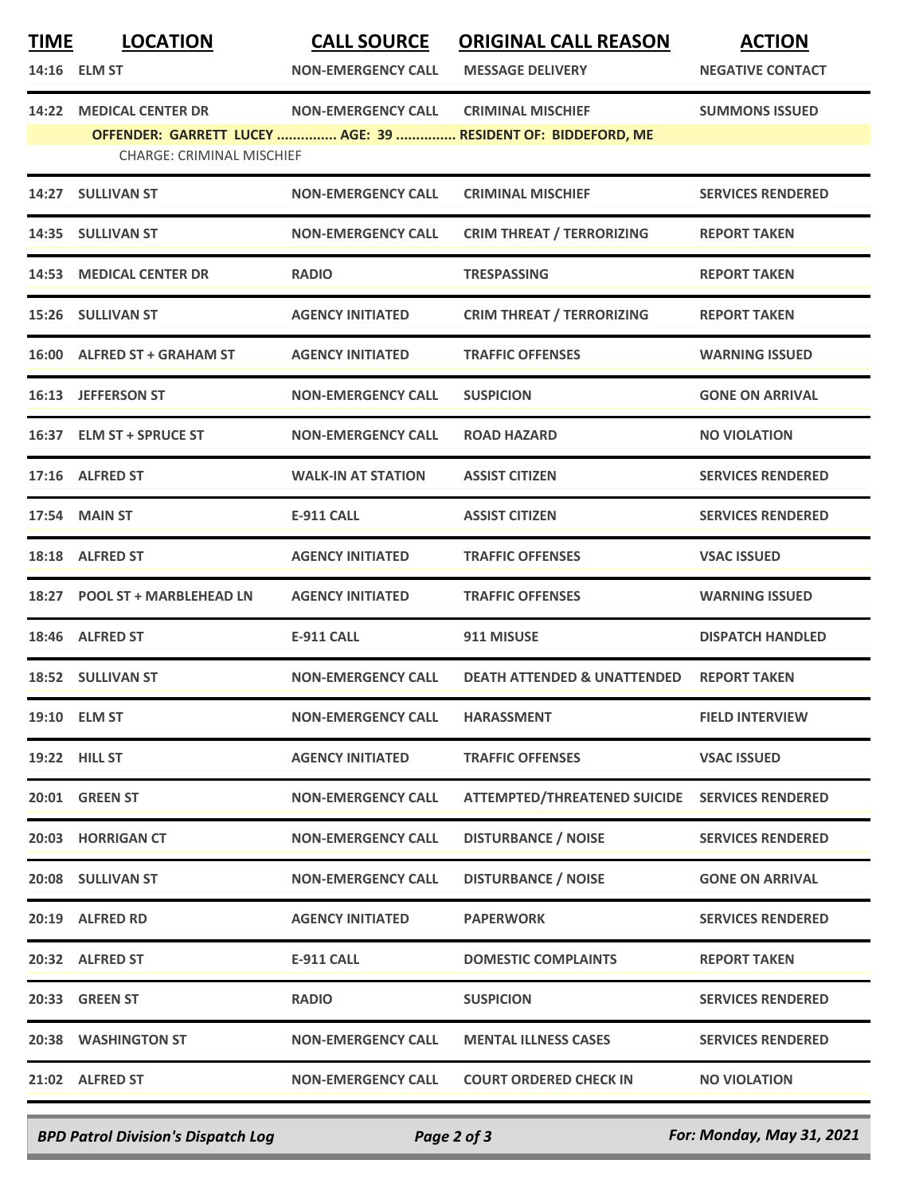| <b>MEDICAL CENTER DR</b><br><b>NON-EMERGENCY CALL</b><br><b>CRIMINAL MISCHIEF</b><br><b>SUMMONS ISSUED</b><br>14:22<br>OFFENDER: GARRETT LUCEY  AGE: 39  RESIDENT OF: BIDDEFORD, ME<br><b>CHARGE: CRIMINAL MISCHIEF</b><br>14:27 SULLIVAN ST<br><b>NON-EMERGENCY CALL</b><br><b>CRIMINAL MISCHIEF</b><br><b>SERVICES RENDERED</b><br><b>CRIM THREAT / TERRORIZING</b><br>14:35 SULLIVAN ST<br><b>NON-EMERGENCY CALL</b><br><b>REPORT TAKEN</b><br><b>14:53 MEDICAL CENTER DR</b><br><b>RADIO</b><br><b>TRESPASSING</b><br><b>REPORT TAKEN</b><br><b>SULLIVAN ST</b><br><b>AGENCY INITIATED</b><br><b>CRIM THREAT / TERRORIZING</b><br>15:26<br><b>REPORT TAKEN</b><br>16:00 ALFRED ST + GRAHAM ST<br><b>AGENCY INITIATED</b><br><b>TRAFFIC OFFENSES</b><br><b>WARNING ISSUED</b><br>16:13 JEFFERSON ST<br><b>NON-EMERGENCY CALL</b><br><b>SUSPICION</b><br><b>GONE ON ARRIVAL</b><br>16:37 ELM ST + SPRUCE ST<br><b>NO VIOLATION</b><br><b>NON-EMERGENCY CALL</b><br><b>ROAD HAZARD</b><br><b>ALFRED ST</b><br><b>WALK-IN AT STATION</b><br>17:16<br><b>ASSIST CITIZEN</b><br><b>SERVICES RENDERED</b><br><b>17:54 MAIN ST</b><br><b>ASSIST CITIZEN</b><br><b>E-911 CALL</b><br><b>SERVICES RENDERED</b><br>18:18 ALFRED ST<br><b>AGENCY INITIATED</b><br><b>TRAFFIC OFFENSES</b><br><b>VSAC ISSUED</b><br><b>POOL ST + MARBLEHEAD LN</b><br><b>AGENCY INITIATED</b><br><b>TRAFFIC OFFENSES</b><br><b>WARNING ISSUED</b><br>18:27<br>18:46 ALFRED ST<br><b>E-911 CALL</b><br>911 MISUSE<br><b>DISPATCH HANDLED</b><br>18:52 SULLIVAN ST<br><b>DEATH ATTENDED &amp; UNATTENDED</b><br><b>REPORT TAKEN</b><br><b>NON-EMERGENCY CALL</b><br>19:10 ELM ST<br><b>NON-EMERGENCY CALL</b><br><b>HARASSMENT</b><br><b>FIELD INTERVIEW</b><br><b>19:22 HILL ST</b><br><b>AGENCY INITIATED</b><br><b>TRAFFIC OFFENSES</b><br><b>VSAC ISSUED</b><br>20:01 GREEN ST<br>ATTEMPTED/THREATENED SUICIDE SERVICES RENDERED<br><b>NON-EMERGENCY CALL</b><br><b>DISTURBANCE / NOISE</b><br>20:03 HORRIGAN CT<br><b>NON-EMERGENCY CALL</b><br><b>SERVICES RENDERED</b><br><b>DISTURBANCE / NOISE</b><br>20:08 SULLIVAN ST<br><b>NON-EMERGENCY CALL</b><br><b>GONE ON ARRIVAL</b><br>20:19 ALFRED RD<br><b>AGENCY INITIATED</b><br><b>PAPERWORK</b><br><b>SERVICES RENDERED</b><br>20:32 ALFRED ST<br><b>REPORT TAKEN</b><br><b>E-911 CALL</b><br><b>DOMESTIC COMPLAINTS</b><br>20:33 GREEN ST<br><b>RADIO</b><br><b>SERVICES RENDERED</b><br><b>SUSPICION</b><br>20:38 WASHINGTON ST<br><b>NON-EMERGENCY CALL</b><br><b>SERVICES RENDERED</b><br><b>MENTAL ILLNESS CASES</b><br>21:02 ALFRED ST<br><b>NON-EMERGENCY CALL</b><br><b>COURT ORDERED CHECK IN</b><br><b>NO VIOLATION</b> | <b>TIME</b> | <b>LOCATION</b><br>14:16 ELM ST | <b>CALL SOURCE</b><br><b>NON-EMERGENCY CALL</b> | <b>ORIGINAL CALL REASON</b><br><b>MESSAGE DELIVERY</b> | <b>ACTION</b><br><b>NEGATIVE CONTACT</b> |
|------------------------------------------------------------------------------------------------------------------------------------------------------------------------------------------------------------------------------------------------------------------------------------------------------------------------------------------------------------------------------------------------------------------------------------------------------------------------------------------------------------------------------------------------------------------------------------------------------------------------------------------------------------------------------------------------------------------------------------------------------------------------------------------------------------------------------------------------------------------------------------------------------------------------------------------------------------------------------------------------------------------------------------------------------------------------------------------------------------------------------------------------------------------------------------------------------------------------------------------------------------------------------------------------------------------------------------------------------------------------------------------------------------------------------------------------------------------------------------------------------------------------------------------------------------------------------------------------------------------------------------------------------------------------------------------------------------------------------------------------------------------------------------------------------------------------------------------------------------------------------------------------------------------------------------------------------------------------------------------------------------------------------------------------------------------------------------------------------------------------------------------------------------------------------------------------------------------------------------------------------------------------------------------------------------------------------------------------------------------------------------------------------------------------------------------------------------------------------------------------------------------------------------------------------------------------------------------------------------------------------------------------------------------|-------------|---------------------------------|-------------------------------------------------|--------------------------------------------------------|------------------------------------------|
|                                                                                                                                                                                                                                                                                                                                                                                                                                                                                                                                                                                                                                                                                                                                                                                                                                                                                                                                                                                                                                                                                                                                                                                                                                                                                                                                                                                                                                                                                                                                                                                                                                                                                                                                                                                                                                                                                                                                                                                                                                                                                                                                                                                                                                                                                                                                                                                                                                                                                                                                                                                                                                                                  |             |                                 |                                                 |                                                        |                                          |
|                                                                                                                                                                                                                                                                                                                                                                                                                                                                                                                                                                                                                                                                                                                                                                                                                                                                                                                                                                                                                                                                                                                                                                                                                                                                                                                                                                                                                                                                                                                                                                                                                                                                                                                                                                                                                                                                                                                                                                                                                                                                                                                                                                                                                                                                                                                                                                                                                                                                                                                                                                                                                                                                  |             |                                 |                                                 |                                                        |                                          |
|                                                                                                                                                                                                                                                                                                                                                                                                                                                                                                                                                                                                                                                                                                                                                                                                                                                                                                                                                                                                                                                                                                                                                                                                                                                                                                                                                                                                                                                                                                                                                                                                                                                                                                                                                                                                                                                                                                                                                                                                                                                                                                                                                                                                                                                                                                                                                                                                                                                                                                                                                                                                                                                                  |             |                                 |                                                 |                                                        |                                          |
|                                                                                                                                                                                                                                                                                                                                                                                                                                                                                                                                                                                                                                                                                                                                                                                                                                                                                                                                                                                                                                                                                                                                                                                                                                                                                                                                                                                                                                                                                                                                                                                                                                                                                                                                                                                                                                                                                                                                                                                                                                                                                                                                                                                                                                                                                                                                                                                                                                                                                                                                                                                                                                                                  |             |                                 |                                                 |                                                        |                                          |
|                                                                                                                                                                                                                                                                                                                                                                                                                                                                                                                                                                                                                                                                                                                                                                                                                                                                                                                                                                                                                                                                                                                                                                                                                                                                                                                                                                                                                                                                                                                                                                                                                                                                                                                                                                                                                                                                                                                                                                                                                                                                                                                                                                                                                                                                                                                                                                                                                                                                                                                                                                                                                                                                  |             |                                 |                                                 |                                                        |                                          |
|                                                                                                                                                                                                                                                                                                                                                                                                                                                                                                                                                                                                                                                                                                                                                                                                                                                                                                                                                                                                                                                                                                                                                                                                                                                                                                                                                                                                                                                                                                                                                                                                                                                                                                                                                                                                                                                                                                                                                                                                                                                                                                                                                                                                                                                                                                                                                                                                                                                                                                                                                                                                                                                                  |             |                                 |                                                 |                                                        |                                          |
|                                                                                                                                                                                                                                                                                                                                                                                                                                                                                                                                                                                                                                                                                                                                                                                                                                                                                                                                                                                                                                                                                                                                                                                                                                                                                                                                                                                                                                                                                                                                                                                                                                                                                                                                                                                                                                                                                                                                                                                                                                                                                                                                                                                                                                                                                                                                                                                                                                                                                                                                                                                                                                                                  |             |                                 |                                                 |                                                        |                                          |
|                                                                                                                                                                                                                                                                                                                                                                                                                                                                                                                                                                                                                                                                                                                                                                                                                                                                                                                                                                                                                                                                                                                                                                                                                                                                                                                                                                                                                                                                                                                                                                                                                                                                                                                                                                                                                                                                                                                                                                                                                                                                                                                                                                                                                                                                                                                                                                                                                                                                                                                                                                                                                                                                  |             |                                 |                                                 |                                                        |                                          |
|                                                                                                                                                                                                                                                                                                                                                                                                                                                                                                                                                                                                                                                                                                                                                                                                                                                                                                                                                                                                                                                                                                                                                                                                                                                                                                                                                                                                                                                                                                                                                                                                                                                                                                                                                                                                                                                                                                                                                                                                                                                                                                                                                                                                                                                                                                                                                                                                                                                                                                                                                                                                                                                                  |             |                                 |                                                 |                                                        |                                          |
|                                                                                                                                                                                                                                                                                                                                                                                                                                                                                                                                                                                                                                                                                                                                                                                                                                                                                                                                                                                                                                                                                                                                                                                                                                                                                                                                                                                                                                                                                                                                                                                                                                                                                                                                                                                                                                                                                                                                                                                                                                                                                                                                                                                                                                                                                                                                                                                                                                                                                                                                                                                                                                                                  |             |                                 |                                                 |                                                        |                                          |
|                                                                                                                                                                                                                                                                                                                                                                                                                                                                                                                                                                                                                                                                                                                                                                                                                                                                                                                                                                                                                                                                                                                                                                                                                                                                                                                                                                                                                                                                                                                                                                                                                                                                                                                                                                                                                                                                                                                                                                                                                                                                                                                                                                                                                                                                                                                                                                                                                                                                                                                                                                                                                                                                  |             |                                 |                                                 |                                                        |                                          |
|                                                                                                                                                                                                                                                                                                                                                                                                                                                                                                                                                                                                                                                                                                                                                                                                                                                                                                                                                                                                                                                                                                                                                                                                                                                                                                                                                                                                                                                                                                                                                                                                                                                                                                                                                                                                                                                                                                                                                                                                                                                                                                                                                                                                                                                                                                                                                                                                                                                                                                                                                                                                                                                                  |             |                                 |                                                 |                                                        |                                          |
|                                                                                                                                                                                                                                                                                                                                                                                                                                                                                                                                                                                                                                                                                                                                                                                                                                                                                                                                                                                                                                                                                                                                                                                                                                                                                                                                                                                                                                                                                                                                                                                                                                                                                                                                                                                                                                                                                                                                                                                                                                                                                                                                                                                                                                                                                                                                                                                                                                                                                                                                                                                                                                                                  |             |                                 |                                                 |                                                        |                                          |
|                                                                                                                                                                                                                                                                                                                                                                                                                                                                                                                                                                                                                                                                                                                                                                                                                                                                                                                                                                                                                                                                                                                                                                                                                                                                                                                                                                                                                                                                                                                                                                                                                                                                                                                                                                                                                                                                                                                                                                                                                                                                                                                                                                                                                                                                                                                                                                                                                                                                                                                                                                                                                                                                  |             |                                 |                                                 |                                                        |                                          |
|                                                                                                                                                                                                                                                                                                                                                                                                                                                                                                                                                                                                                                                                                                                                                                                                                                                                                                                                                                                                                                                                                                                                                                                                                                                                                                                                                                                                                                                                                                                                                                                                                                                                                                                                                                                                                                                                                                                                                                                                                                                                                                                                                                                                                                                                                                                                                                                                                                                                                                                                                                                                                                                                  |             |                                 |                                                 |                                                        |                                          |
|                                                                                                                                                                                                                                                                                                                                                                                                                                                                                                                                                                                                                                                                                                                                                                                                                                                                                                                                                                                                                                                                                                                                                                                                                                                                                                                                                                                                                                                                                                                                                                                                                                                                                                                                                                                                                                                                                                                                                                                                                                                                                                                                                                                                                                                                                                                                                                                                                                                                                                                                                                                                                                                                  |             |                                 |                                                 |                                                        |                                          |
|                                                                                                                                                                                                                                                                                                                                                                                                                                                                                                                                                                                                                                                                                                                                                                                                                                                                                                                                                                                                                                                                                                                                                                                                                                                                                                                                                                                                                                                                                                                                                                                                                                                                                                                                                                                                                                                                                                                                                                                                                                                                                                                                                                                                                                                                                                                                                                                                                                                                                                                                                                                                                                                                  |             |                                 |                                                 |                                                        |                                          |
|                                                                                                                                                                                                                                                                                                                                                                                                                                                                                                                                                                                                                                                                                                                                                                                                                                                                                                                                                                                                                                                                                                                                                                                                                                                                                                                                                                                                                                                                                                                                                                                                                                                                                                                                                                                                                                                                                                                                                                                                                                                                                                                                                                                                                                                                                                                                                                                                                                                                                                                                                                                                                                                                  |             |                                 |                                                 |                                                        |                                          |
|                                                                                                                                                                                                                                                                                                                                                                                                                                                                                                                                                                                                                                                                                                                                                                                                                                                                                                                                                                                                                                                                                                                                                                                                                                                                                                                                                                                                                                                                                                                                                                                                                                                                                                                                                                                                                                                                                                                                                                                                                                                                                                                                                                                                                                                                                                                                                                                                                                                                                                                                                                                                                                                                  |             |                                 |                                                 |                                                        |                                          |
|                                                                                                                                                                                                                                                                                                                                                                                                                                                                                                                                                                                                                                                                                                                                                                                                                                                                                                                                                                                                                                                                                                                                                                                                                                                                                                                                                                                                                                                                                                                                                                                                                                                                                                                                                                                                                                                                                                                                                                                                                                                                                                                                                                                                                                                                                                                                                                                                                                                                                                                                                                                                                                                                  |             |                                 |                                                 |                                                        |                                          |
|                                                                                                                                                                                                                                                                                                                                                                                                                                                                                                                                                                                                                                                                                                                                                                                                                                                                                                                                                                                                                                                                                                                                                                                                                                                                                                                                                                                                                                                                                                                                                                                                                                                                                                                                                                                                                                                                                                                                                                                                                                                                                                                                                                                                                                                                                                                                                                                                                                                                                                                                                                                                                                                                  |             |                                 |                                                 |                                                        |                                          |
|                                                                                                                                                                                                                                                                                                                                                                                                                                                                                                                                                                                                                                                                                                                                                                                                                                                                                                                                                                                                                                                                                                                                                                                                                                                                                                                                                                                                                                                                                                                                                                                                                                                                                                                                                                                                                                                                                                                                                                                                                                                                                                                                                                                                                                                                                                                                                                                                                                                                                                                                                                                                                                                                  |             |                                 |                                                 |                                                        |                                          |
|                                                                                                                                                                                                                                                                                                                                                                                                                                                                                                                                                                                                                                                                                                                                                                                                                                                                                                                                                                                                                                                                                                                                                                                                                                                                                                                                                                                                                                                                                                                                                                                                                                                                                                                                                                                                                                                                                                                                                                                                                                                                                                                                                                                                                                                                                                                                                                                                                                                                                                                                                                                                                                                                  |             |                                 |                                                 |                                                        |                                          |
|                                                                                                                                                                                                                                                                                                                                                                                                                                                                                                                                                                                                                                                                                                                                                                                                                                                                                                                                                                                                                                                                                                                                                                                                                                                                                                                                                                                                                                                                                                                                                                                                                                                                                                                                                                                                                                                                                                                                                                                                                                                                                                                                                                                                                                                                                                                                                                                                                                                                                                                                                                                                                                                                  |             |                                 |                                                 |                                                        |                                          |

*BPD Patrol Division's Dispatch Log Page 2 of 3 For: Monday, May 31, 2021*